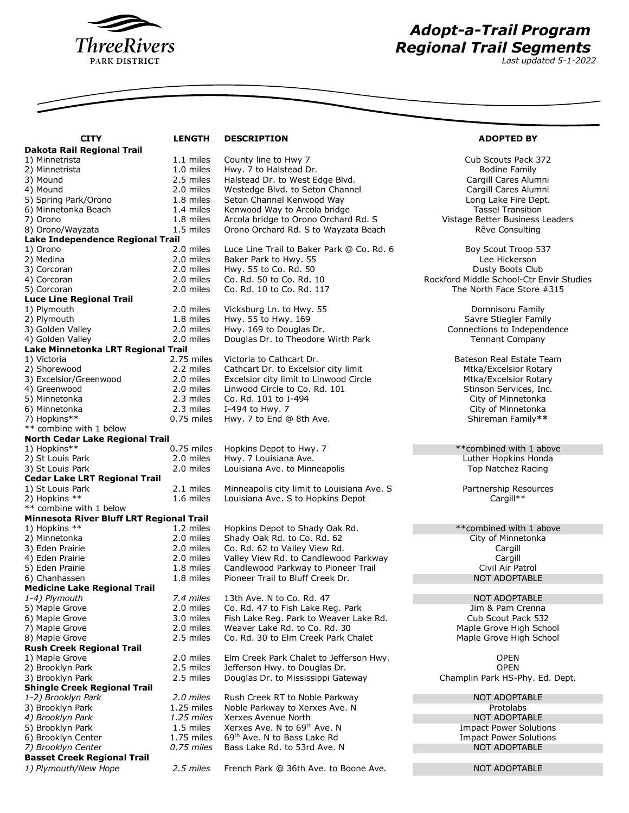

## *Adopt-a-Trail Program Regional Trail Segments*

*Last updated 5-1-2022*

| <b>CITY</b>                                        | <b>LENGTH</b>          | <b>DESCRIPTION</b>                                                           | <b>ADOPTED BY</b>                                           |  |  |
|----------------------------------------------------|------------------------|------------------------------------------------------------------------------|-------------------------------------------------------------|--|--|
| Dakota Rail Regional Trail                         |                        |                                                                              |                                                             |  |  |
| 1) Minnetrista                                     | 1.1 miles              | County line to Hwy 7                                                         | Cub Scouts Pack 372                                         |  |  |
| 2) Minnetrista                                     | 1.0 miles              | Hwy. 7 to Halstead Dr.                                                       | <b>Bodine Family</b>                                        |  |  |
| 3) Mound                                           | 2.5 miles              | Halstead Dr. to West Edge Blvd.                                              | Cargill Cares Alumni                                        |  |  |
| 4) Mound                                           | 2.0 miles              | Westedge Blvd. to Seton Channel                                              | Cargill Cares Alumni                                        |  |  |
| 5) Spring Park/Orono                               | 1.8 miles              | Seton Channel Kenwood Way                                                    | Long Lake Fire Dept.                                        |  |  |
| 6) Minnetonka Beach<br>7) Orono                    | 1.4 miles<br>1.8 miles | Kenwood Way to Arcola bridge                                                 | <b>Tassel Transition</b><br>Vistage Better Business Leaders |  |  |
| 8) Orono/Wayzata                                   | 1.5 miles              | Arcola bridge to Orono Orchard Rd. S<br>Orono Orchard Rd. S to Wayzata Beach | Rêve Consulting                                             |  |  |
| Lake Independence Regional Trail                   |                        |                                                                              |                                                             |  |  |
| 1) Orono                                           | 2.0 miles              | Luce Line Trail to Baker Park @ Co. Rd. 6                                    | Boy Scout Troop 537                                         |  |  |
| 2) Medina                                          | 2.0 miles              | Baker Park to Hwy. 55                                                        | Lee Hickerson                                               |  |  |
| 3) Corcoran                                        | 2.0 miles              | Hwy. 55 to Co. Rd. 50                                                        | Dusty Boots Club                                            |  |  |
| 4) Corcoran                                        | 2.0 miles              | Co. Rd. 50 to Co. Rd. 10                                                     | Rockford Middle School-Ctr Envir Studies                    |  |  |
| 5) Corcoran                                        | 2.0 miles              | Co. Rd. 10 to Co. Rd. 117                                                    | The North Face Store #315                                   |  |  |
| <b>Luce Line Regional Trail</b>                    |                        |                                                                              |                                                             |  |  |
| 1) Plymouth                                        | 2.0 miles              | Vicksburg Ln. to Hwy. 55                                                     | Domnisoru Family                                            |  |  |
| 2) Plymouth                                        | 1.8 miles              | Hwy. 55 to Hwy. 169                                                          | Savre Stiegler Family                                       |  |  |
| 3) Golden Valley                                   | 2.0 miles              | Hwy. 169 to Douglas Dr.                                                      | Connections to Independence                                 |  |  |
| 4) Golden Valley                                   | 2.0 miles              | Douglas Dr. to Theodore Wirth Park                                           | <b>Tennant Company</b>                                      |  |  |
| Lake Minnetonka LRT Regional Trail                 |                        |                                                                              |                                                             |  |  |
| 1) Victoria                                        | 2.75 miles             | Victoria to Cathcart Dr.                                                     | Bateson Real Estate Team                                    |  |  |
| 2) Shorewood                                       | 2.2 miles              | Cathcart Dr. to Excelsior city limit                                         | Mtka/Excelsior Rotary                                       |  |  |
| 3) Excelsior/Greenwood                             | 2.0 miles              | Excelsior city limit to Linwood Circle                                       | Mtka/Excelsior Rotary                                       |  |  |
| 4) Greenwood                                       | 2.0 miles              | Linwood Circle to Co. Rd. 101                                                | Stinson Services, Inc.                                      |  |  |
| 5) Minnetonka                                      | 2.3 miles              | Co. Rd. 101 to I-494                                                         | City of Minnetonka                                          |  |  |
| 6) Minnetonka                                      | 2.3 miles              | I-494 to Hwy. 7                                                              | City of Minnetonka                                          |  |  |
| 7) Hopkins**                                       | $0.75$ miles           | Hwy. 7 to End @ 8th Ave.                                                     | Shireman Family**                                           |  |  |
| ** combine with 1 below                            |                        |                                                                              |                                                             |  |  |
| North Cedar Lake Regional Trail<br>1) Hopkins**    | $0.75$ miles           | Hopkins Depot to Hwy. 7                                                      | **combined with 1 above                                     |  |  |
| 2) St Louis Park                                   | 2.0 miles              | Hwy. 7 Louisiana Ave.                                                        | Luther Hopkins Honda                                        |  |  |
| 3) St Louis Park                                   | 2.0 miles              | Louisiana Ave. to Minneapolis                                                | Top Natchez Racing                                          |  |  |
| <b>Cedar Lake LRT Regional Trail</b>               |                        |                                                                              |                                                             |  |  |
| 1) St Louis Park                                   | 2.1 miles              | Minneapolis city limit to Louisiana Ave. S                                   | Partnership Resources                                       |  |  |
| 2) Hopkins **                                      | 1.6 miles              | Louisiana Ave. S to Hopkins Depot                                            | Cargill**                                                   |  |  |
| ** combine with 1 below                            |                        |                                                                              |                                                             |  |  |
| Minnesota River Bluff LRT Regional Trail           |                        |                                                                              |                                                             |  |  |
| 1) Hopkins **                                      | 1.2 miles              | Hopkins Depot to Shady Oak Rd.                                               | ** combined with 1 above                                    |  |  |
| 2) Minnetonka                                      | 2.0 miles              | Shady Oak Rd. to Co. Rd. 62                                                  | City of Minnetonka                                          |  |  |
| 3) Eden Prairie                                    | 2.0 miles              | Co. Rd. 62 to Valley View Rd.                                                | Cargill                                                     |  |  |
| 4) Eden Prairie                                    | 2.0 miles              | Valley View Rd. to Candlewood Parkway                                        | Cargill                                                     |  |  |
| 5) Eden Prairie                                    | 1.8 miles              | Candlewood Parkway to Pioneer Trail                                          | Civil Air Patrol                                            |  |  |
| 6) Chanhassen                                      | 1.8 miles              | Pioneer Trail to Bluff Creek Dr.                                             | <b>NOT ADOPTABLE</b>                                        |  |  |
| <b>Medicine Lake Regional Trail</b>                |                        |                                                                              |                                                             |  |  |
| 1-4) Plymouth                                      | 7.4 miles              | 13th Ave. N to Co. Rd. 47                                                    | NOT ADOPTABLE                                               |  |  |
| 5) Maple Grove                                     | 2.0 miles              | Co. Rd. 47 to Fish Lake Reg. Park                                            | Jim & Pam Crenna                                            |  |  |
| 6) Maple Grove                                     | 3.0 miles              | Fish Lake Reg. Park to Weaver Lake Rd.                                       | Cub Scout Pack 532                                          |  |  |
| 7) Maple Grove                                     | 2.0 miles              | Weaver Lake Rd. to Co. Rd. 30<br>Co. Rd. 30 to Elm Creek Park Chalet         | Maple Grove High School                                     |  |  |
| 8) Maple Grove<br><b>Rush Creek Regional Trail</b> | 2.5 miles              |                                                                              | Maple Grove High School                                     |  |  |
| 1) Maple Grove                                     | 2.0 miles              | Elm Creek Park Chalet to Jefferson Hwy.                                      | <b>OPEN</b>                                                 |  |  |
| 2) Brooklyn Park                                   | 2.5 miles              | Jefferson Hwy. to Douglas Dr.                                                | <b>OPEN</b>                                                 |  |  |
| 3) Brooklyn Park                                   | 2.5 miles              | Douglas Dr. to Mississippi Gateway                                           | Champlin Park HS-Phy. Ed. Dept.                             |  |  |
| <b>Shingle Creek Regional Trail</b>                |                        |                                                                              |                                                             |  |  |
| 1-2) Brooklyn Park                                 | 2.0 miles              | Rush Creek RT to Noble Parkway                                               | NOT ADOPTABLE                                               |  |  |
| 3) Brooklyn Park                                   | 1.25 miles             | Noble Parkway to Xerxes Ave. N                                               | Protolabs                                                   |  |  |
| 4) Brooklyn Park                                   | 1.25 miles             | Xerxes Avenue North                                                          | <b>NOT ADOPTABLE</b>                                        |  |  |
| 5) Brooklyn Park                                   | 1.5 miles              | Xerxes Ave. N to 69 <sup>th</sup> Ave. N                                     | <b>Impact Power Solutions</b>                               |  |  |
| 6) Brooklyn Center                                 | 1.75 miles             | 69 <sup>th</sup> Ave. N to Bass Lake Rd                                      | <b>Impact Power Solutions</b>                               |  |  |
| 7) Brooklyn Center                                 | 0.75 miles             | Bass Lake Rd. to 53rd Ave. N                                                 | <b>NOT ADOPTABLE</b>                                        |  |  |
| <b>Basset Creek Regional Trail</b>                 |                        |                                                                              |                                                             |  |  |
| 1) Plymouth/New Hope                               | 2.5 miles              | French Park @ 36th Ave. to Boone Ave.                                        | NOT ADOPTABLE                                               |  |  |
|                                                    |                        |                                                                              |                                                             |  |  |